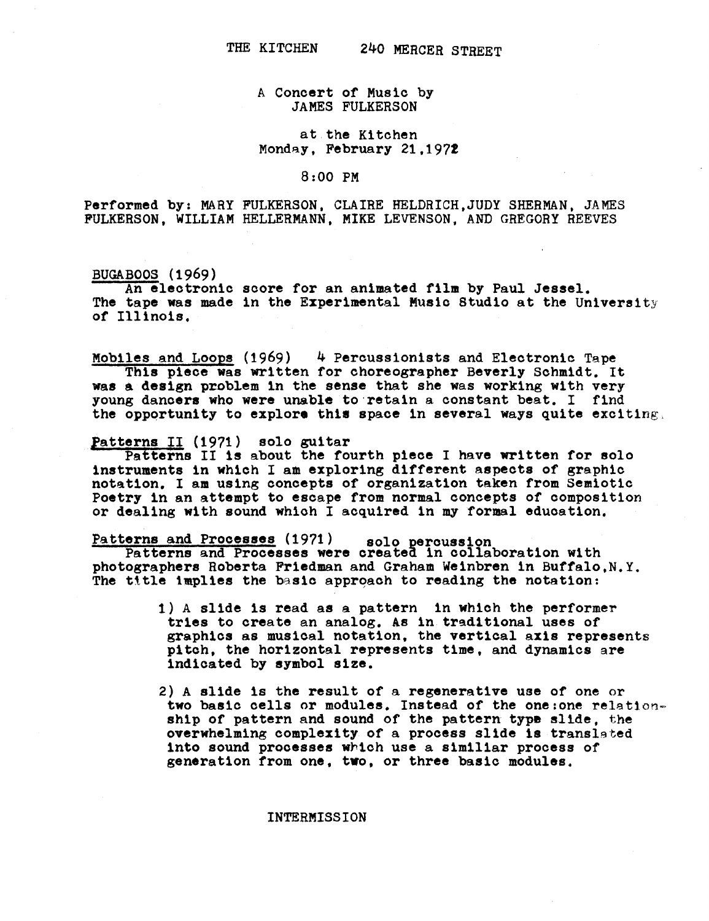## A Concert of Music by JAMES FULKERSON

## at the Kitchen Monday, February 21,1972

8 :00 PM

Performed by: MARY FULKERSON, CLAIRE HELDRICH, JUDY SHERMAN, JAMES FULKERSON, WILLIAM HELLERMANN, MIKE LEVENSON, AND GREGORY REEVES

BUGABOOS (1969)<br>An electronic score for an animated film by Paul Jessel. BUGABOOS (1969)<br>An electronic score for an animated film by Paul Jessel.<br>The tape was made in the Experimental Music Studio at the University of Illinois .

Mobiles and Loops (1969) 4 Percussionists and Electronic Tape This piece was written for choreographer Beverly Schmidt. It was a design problem in the sense that she was working with very young dancers who were unable to retain a constant beat. I find the opportunity to explore this space in several ways quite exciting.

## Patterns II (1971) solo guitar

Patterns II is about the fourth piece I have written for solo instruments in which I am exploring different aspects of graphic notation. I am using concepts of organization taken from Semiotic Poetry in an attempt to escape from normal concepts of composition or dealing with sound which I acquired in my formal education.

## Patterns and Processes (1971) solo percussion

Patterns and Processes were created in collaboration with photographers Roberta Friedman and Graham Weinbren in Buffalo,N.Y . The title implies the basic approach to reading the notation:

- 1) A slide is read as a pattern in which the performer tries to create an analog. As in traditional uses of graphics as musical notation, the vertical axis represents pitch, the horizontal represents time, and dynamics are indicated by symbol size .
- 2) A slide is the result of a regenerative use of one or two basic cells or modules. Instead of the one:one relationship of pattern and sound of the pattern type slide, the overwhelming complexity of a process slide is translated into sound processes which use a similiar process of generation from one, two, or three basic modules .

INTERMISSION